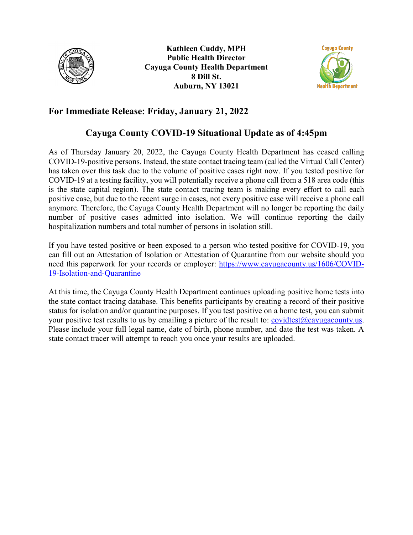



# **For Immediate Release: Friday, January 21, 2022**

## **Cayuga County COVID-19 Situational Update as of 4:45pm**

As of Thursday January 20, 2022, the Cayuga County Health Department has ceased calling COVID-19-positive persons. Instead, the state contact tracing team (called the Virtual Call Center) has taken over this task due to the volume of positive cases right now. If you tested positive for COVID-19 at a testing facility, you will potentially receive a phone call from a 518 area code (this is the state capital region). The state contact tracing team is making every effort to call each positive case, but due to the recent surge in cases, not every positive case will receive a phone call anymore. Therefore, the Cayuga County Health Department will no longer be reporting the daily number of positive cases admitted into isolation. We will continue reporting the daily hospitalization numbers and total number of persons in isolation still.

If you have tested positive or been exposed to a person who tested positive for COVID-19, you can fill out an Attestation of Isolation or Attestation of Quarantine from our website should you need this paperwork for your records or employer: [https://www.cayugacounty.us/1606/COVID-](https://www.cayugacounty.us/1606/COVID-19-Isolation-and-Quarantine)[19-Isolation-and-Quarantine](https://www.cayugacounty.us/1606/COVID-19-Isolation-and-Quarantine)

At this time, the Cayuga County Health Department continues uploading positive home tests into the state contact tracing database. This benefits participants by creating a record of their positive status for isolation and/or quarantine purposes. If you test positive on a home test, you can submit your positive test results to us by emailing a picture of the result to: [covidtest@cayugacounty.us.](mailto:covidtest@cayugacounty.us) Please include your full legal name, date of birth, phone number, and date the test was taken. A state contact tracer will attempt to reach you once your results are uploaded.